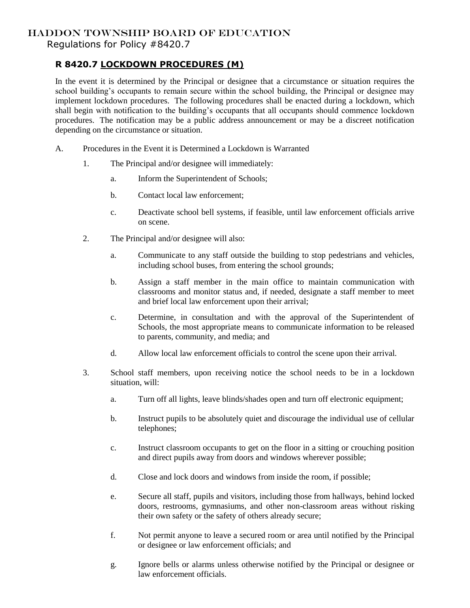## HADDON TOWNSHIP BOARD OF EDUCATION

Regulations for Policy #8420.7

## **R 8420.7 LOCKDOWN PROCEDURES (M)**

In the event it is determined by the Principal or designee that a circumstance or situation requires the school building's occupants to remain secure within the school building, the Principal or designee may implement lockdown procedures. The following procedures shall be enacted during a lockdown, which shall begin with notification to the building's occupants that all occupants should commence lockdown procedures. The notification may be a public address announcement or may be a discreet notification depending on the circumstance or situation.

- A. Procedures in the Event it is Determined a Lockdown is Warranted
	- 1. The Principal and/or designee will immediately:
		- a. Inform the Superintendent of Schools;
		- b. Contact local law enforcement;
		- c. Deactivate school bell systems, if feasible, until law enforcement officials arrive on scene.
	- 2. The Principal and/or designee will also:
		- a. Communicate to any staff outside the building to stop pedestrians and vehicles, including school buses, from entering the school grounds;
		- b. Assign a staff member in the main office to maintain communication with classrooms and monitor status and, if needed, designate a staff member to meet and brief local law enforcement upon their arrival;
		- c. Determine, in consultation and with the approval of the Superintendent of Schools, the most appropriate means to communicate information to be released to parents, community, and media; and
		- d. Allow local law enforcement officials to control the scene upon their arrival.
	- 3. School staff members, upon receiving notice the school needs to be in a lockdown situation, will:
		- a. Turn off all lights, leave blinds/shades open and turn off electronic equipment;
		- b. Instruct pupils to be absolutely quiet and discourage the individual use of cellular telephones;
		- c. Instruct classroom occupants to get on the floor in a sitting or crouching position and direct pupils away from doors and windows wherever possible;
		- d. Close and lock doors and windows from inside the room, if possible;
		- e. Secure all staff, pupils and visitors, including those from hallways, behind locked doors, restrooms, gymnasiums, and other non-classroom areas without risking their own safety or the safety of others already secure;
		- f. Not permit anyone to leave a secured room or area until notified by the Principal or designee or law enforcement officials; and
		- g. Ignore bells or alarms unless otherwise notified by the Principal or designee or law enforcement officials.